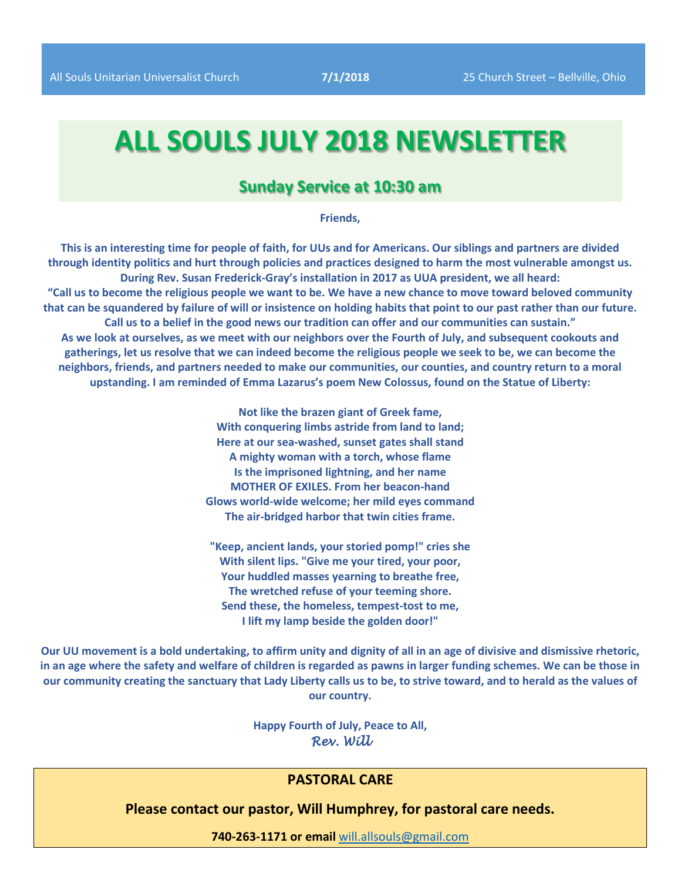# **ALL SOULS JULY 2018 NEWSLETTER**

# **Sunday Service at 10:30 am**

**Friends,** 

**This is an interesting time for people of faith, for UUs and for Americans. Our siblings and partners are divided through identity politics and hurt through policies and practices designed to harm the most vulnerable amongst us. During Rev. Susan Frederick-Gray's installation in 2017 as UUA president, we all heard: "Call us to become the religious people we want to be. We have a new chance to move toward beloved community that can be squandered by failure of will or insistence on holding habits that point to our past rather than our future. Call us to a belief in the good news our tradition can offer and our communities can sustain." As we look at ourselves, as we meet with our neighbors over the Fourth of July, and subsequent cookouts and gatherings, let us resolve that we can indeed become the religious people we seek to be, we can become the neighbors, friends, and partners needed to make our communities, our counties, and country return to a moral upstanding. I am reminded of Emma Lazarus's poem New Colossus, found on the Statue of Liberty:** 

> **Not like the brazen giant of Greek fame, With conquering limbs astride from land to land; Here at our sea-washed, sunset gates shall stand A mighty woman with a torch, whose flame Is the imprisoned lightning, and her name MOTHER OF EXILES. From her beacon-hand Glows world-wide welcome; her mild eyes command The air-bridged harbor that twin cities frame.**

**"Keep, ancient lands, your storied pomp!" cries she With silent lips. "Give me your tired, your poor, Your huddled masses yearning to breathe free, The wretched refuse of your teeming shore. Send these, the homeless, tempest-tost to me, I lift my lamp beside the golden door!"**

**Our UU movement is a bold undertaking, to affirm unity and dignity of all in an age of divisive and dismissive rhetoric, in an age where the safety and welfare of children is regarded as pawns in larger funding schemes. We can be those in our community creating the sanctuary that Lady Liberty calls us to be, to strive toward, and to herald as the values of our country.** 

> **Happy Fourth of July, Peace to All,**  *Rev. Will*

## **PASTORAL CARE**

**Please contact our pastor, Will Humphrey, for pastoral care needs.**

**740-263-1171 or email** [will.allsouls@gmail.com](mailto:will.allsouls@gmail.com)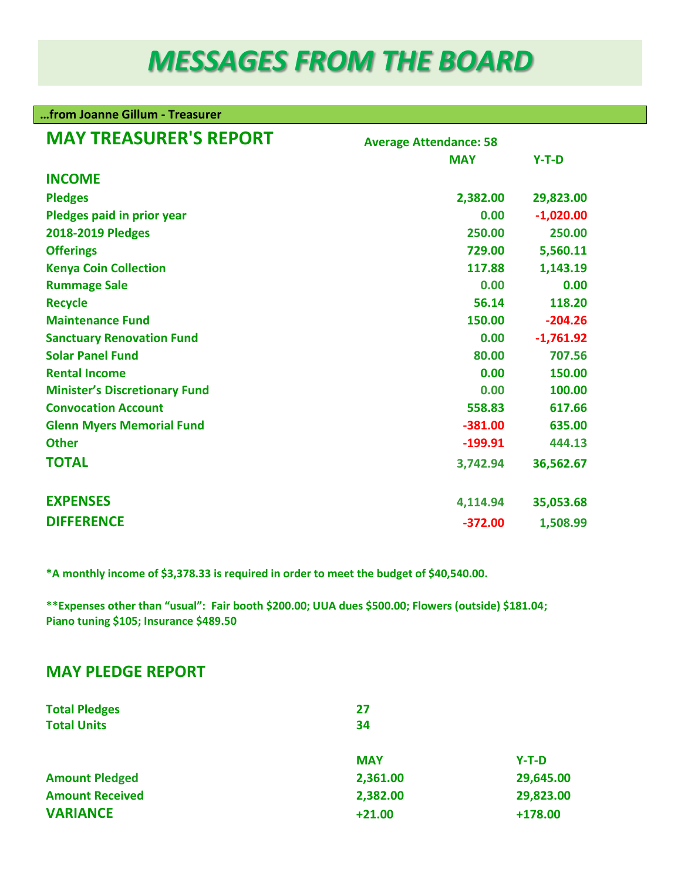# *MESSAGES FROM THE BOARD*

#### **…from Joanne Gillum - Treasurer**

| <b>MAY TREASURER'S REPORT</b>        | <b>Average Attendance: 58</b> |             |  |  |
|--------------------------------------|-------------------------------|-------------|--|--|
|                                      | <b>MAY</b>                    | $Y-T-D$     |  |  |
| <b>INCOME</b>                        |                               |             |  |  |
| <b>Pledges</b>                       | 2,382.00                      | 29,823.00   |  |  |
| Pledges paid in prior year           | 0.00                          | $-1,020.00$ |  |  |
| 2018-2019 Pledges                    | 250.00                        | 250.00      |  |  |
| <b>Offerings</b>                     | 729.00                        | 5,560.11    |  |  |
| <b>Kenya Coin Collection</b>         | 117.88                        | 1,143.19    |  |  |
| <b>Rummage Sale</b>                  | 0.00                          | 0.00        |  |  |
| <b>Recycle</b>                       | 56.14                         | 118.20      |  |  |
| <b>Maintenance Fund</b>              | 150.00                        | $-204.26$   |  |  |
| <b>Sanctuary Renovation Fund</b>     | 0.00                          | $-1,761.92$ |  |  |
| <b>Solar Panel Fund</b>              | 80.00                         | 707.56      |  |  |
| <b>Rental Income</b>                 | 0.00                          | 150.00      |  |  |
| <b>Minister's Discretionary Fund</b> | 0.00                          | 100.00      |  |  |
| <b>Convocation Account</b>           | 558.83                        | 617.66      |  |  |
| <b>Glenn Myers Memorial Fund</b>     | $-381.00$                     | 635.00      |  |  |
| <b>Other</b>                         | $-199.91$                     | 444.13      |  |  |
| <b>TOTAL</b>                         | 3,742.94                      | 36,562.67   |  |  |
| <b>EXPENSES</b>                      | 4,114.94                      | 35,053.68   |  |  |
| <b>DIFFERENCE</b>                    | $-372.00$                     | 1,508.99    |  |  |

**\*A monthly income of \$3,378.33 is required in order to meet the budget of \$40,540.00.**

**\*\*Expenses other than "usual": Fair booth \$200.00; UUA dues \$500.00; Flowers (outside) \$181.04; Piano tuning \$105; Insurance \$489.50**

# **MAY PLEDGE REPORT**

| <b>Total Pledges</b>   | 27         |           |
|------------------------|------------|-----------|
| <b>Total Units</b>     | 34         |           |
|                        | <b>MAY</b> | $Y-T-D$   |
| <b>Amount Pledged</b>  | 2,361.00   | 29,645.00 |
| <b>Amount Received</b> | 2,382.00   | 29,823.00 |
| <b>VARIANCE</b>        | $+21.00$   | $+178.00$ |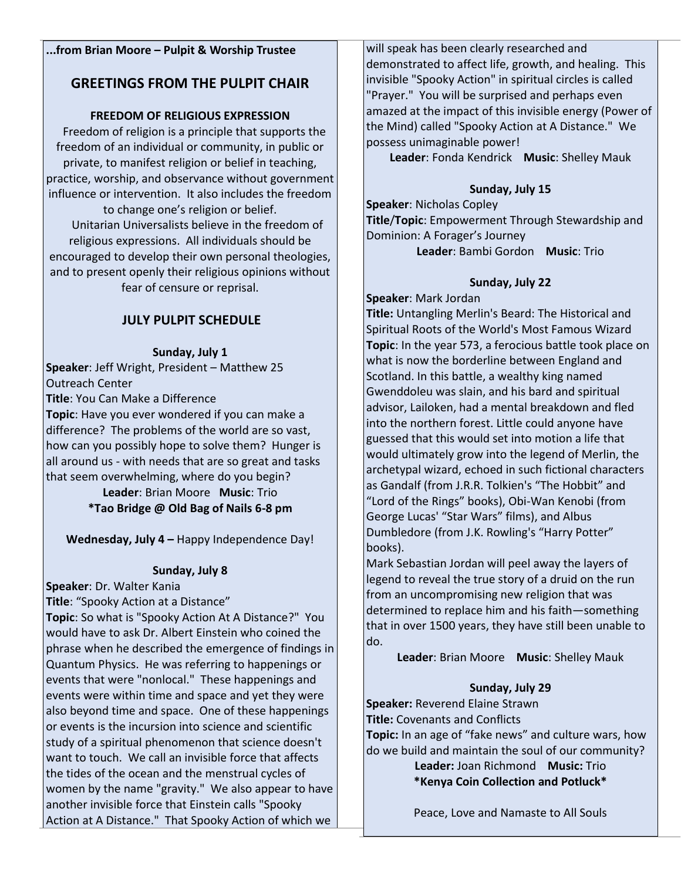### **...from Brian Moore – Pulpit & Worship Trustee**

## **GREETINGS FROM THE PULPIT CHAIR**

## **FREEDOM OF RELIGIOUS EXPRESSION**

 Freedom of religion is a principle that supports the freedom of an individual or community, in public or private, to manifest religion or belief in teaching, practice, worship, and observance without government influence or intervention. It also includes the freedom

to change one's religion or belief. Unitarian Universalists believe in the freedom of religious expressions. All individuals should be encouraged to develop their own personal theologies, and to present openly their religious opinions without fear of censure or reprisal.

## **JULY PULPIT SCHEDULE**

### **Sunday, July 1**

**Speaker**: Jeff Wright, President – Matthew 25 Outreach Center

**Title**: You Can Make a Difference

**Topic**: Have you ever wondered if you can make a difference? The problems of the world are so vast, how can you possibly hope to solve them? Hunger is all around us - with needs that are so great and tasks that seem overwhelming, where do you begin?

**Leader**: Brian Moore **Music**: Trio **\*Tao Bridge @ Old Bag of Nails 6-8 pm**

**Wednesday, July 4 –** Happy Independence Day!

## **Sunday, July 8**

**Speaker**: Dr. Walter Kania

**Title**: "Spooky Action at a Distance"

**Topic**: So what is "Spooky Action At A Distance?" You would have to ask Dr. Albert Einstein who coined the phrase when he described the emergence of findings in Quantum Physics. He was referring to happenings or events that were "nonlocal." These happenings and events were within time and space and yet they were also beyond time and space. One of these happenings or events is the incursion into science and scientific study of a spiritual phenomenon that science doesn't want to touch. We call an invisible force that affects the tides of the ocean and the menstrual cycles of women by the name "gravity." We also appear to have another invisible force that Einstein calls "Spooky Action at A Distance." That Spooky Action of which we

will speak has been clearly researched and demonstrated to affect life, growth, and healing. This invisible "Spooky Action" in spiritual circles is called "Prayer." You will be surprised and perhaps even amazed at the impact of this invisible energy (Power of the Mind) called "Spooky Action at A Distance." We possess unimaginable power!

**Leader**: Fonda Kendrick **Music**: Shelley Mauk

### **Sunday, July 15**

**Speaker**: Nicholas Copley **Title**/**Topic**: Empowerment Through Stewardship and Dominion: A Forager's Journey **Leader**: Bambi Gordon **Music**: Trio

## **Sunday, July 22**

**Speaker**: Mark Jordan

**Title:** Untangling Merlin's Beard: The Historical and Spiritual Roots of the World's Most Famous Wizard **Topic**: In the year 573, a ferocious battle took place on what is now the borderline between England and Scotland. In this battle, a wealthy king named Gwenddoleu was slain, and his bard and spiritual advisor, Lailoken, had a mental breakdown and fled into the northern forest. Little could anyone have guessed that this would set into motion a life that would ultimately grow into the legend of Merlin, the archetypal wizard, echoed in such fictional characters as Gandalf (from J.R.R. Tolkien's "The Hobbit" and "Lord of the Rings" books), Obi-Wan Kenobi (from George Lucas' "Star Wars" films), and Albus Dumbledore (from J.K. Rowling's "Harry Potter" books).

Mark Sebastian Jordan will peel away the layers of legend to reveal the true story of a druid on the run from an uncompromising new religion that was determined to replace him and his faith—something that in over 1500 years, they have still been unable to do.

**Leader**: Brian Moore **Music**: Shelley Mauk

## **Sunday, July 29**

**Speaker:** Reverend Elaine Strawn **Title:** Covenants and Conflicts

**Topic:** In an age of "fake news" and culture wars, how

do we build and maintain the soul of our community? **Leader:** Joan Richmond **Music:** Trio

**\*Kenya Coin Collection and Potluck\***

Peace, Love and Namaste to All Souls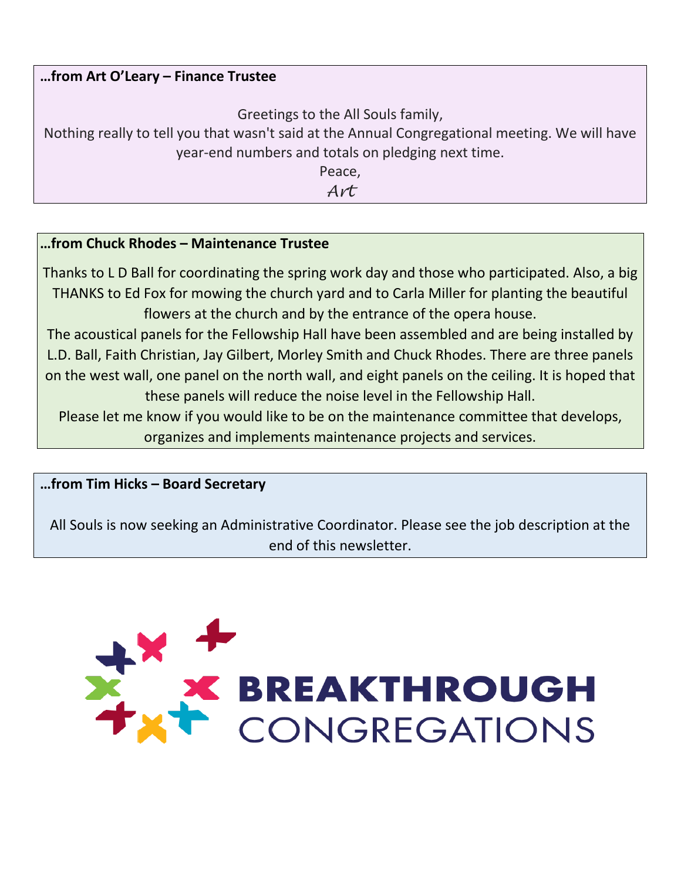# **…from Art O'Leary – Finance Trustee**

Greetings to the All Souls family,

Nothing really to tell you that wasn't said at the Annual Congregational meeting. We will have year-end numbers and totals on pledging next time.

Peace,

*Art*

# **…from Chuck Rhodes – Maintenance Trustee**

Thanks to L D Ball for coordinating the spring work day and those who participated. Also, a big THANKS to Ed Fox for mowing the church yard and to Carla Miller for planting the beautiful flowers at the church and by the entrance of the opera house.

The acoustical panels for the Fellowship Hall have been assembled and are being installed by L.D. Ball, Faith Christian, Jay Gilbert, Morley Smith and Chuck Rhodes. There are three panels on the west wall, one panel on the north wall, and eight panels on the ceiling. It is hoped that these panels will reduce the noise level in the Fellowship Hall.

Please let me know if you would like to be on the maintenance committee that develops, organizes and implements maintenance projects and services.

**…from Tim Hicks – Board Secretary**

All Souls is now seeking an Administrative Coordinator. Please see the job description at the end of this newsletter.

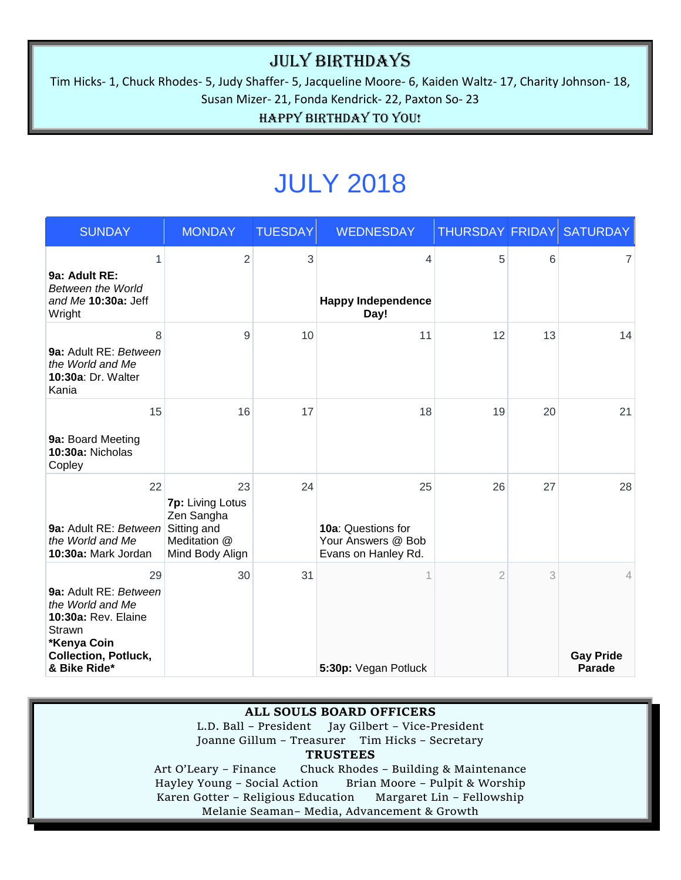# July Birthdays

Tim Hicks- 1, Chuck Rhodes- 5, Judy Shaffer- 5, Jacqueline Moore- 6, Kaiden Waltz- 17, Charity Johnson- 18, Susan Mizer- 21, Fonda Kendrick- 22, Paxton So- 23

Happy Birthday to You!

# JULY 2018

| <b>SUNDAY</b>                                                                                                                                  | <b>MONDAY</b>                                                                          | <b>TUESDAY</b> | <b>WEDNESDAY</b>                                                      | THURSDAY FRIDAY |    | <b>SATURDAY</b>                                     |
|------------------------------------------------------------------------------------------------------------------------------------------------|----------------------------------------------------------------------------------------|----------------|-----------------------------------------------------------------------|-----------------|----|-----------------------------------------------------|
| 1<br>9a: Adult RE:<br>Between the World<br>and Me 10:30a: Jeff<br>Wright                                                                       | $\overline{2}$                                                                         | 3              | 4<br><b>Happy Independence</b><br>Day!                                | 5               | 6  | 7                                                   |
| 8<br>9a: Adult RE: Between<br>the World and Me<br>10:30a: Dr. Walter<br>Kania                                                                  | 9                                                                                      | 10             | 11                                                                    | 12              | 13 | 14                                                  |
| 15<br>9a: Board Meeting<br>10:30a: Nicholas<br>Copley                                                                                          | 16                                                                                     | 17             | 18                                                                    | 19              | 20 | 21                                                  |
| 22<br>9a: Adult RE: Between<br>the World and Me<br>10:30a: Mark Jordan                                                                         | 23<br>7p: Living Lotus<br>Zen Sangha<br>Sitting and<br>Meditation @<br>Mind Body Align | 24             | 25<br>10a: Questions for<br>Your Answers @ Bob<br>Evans on Hanley Rd. | 26              | 27 | 28                                                  |
| 29<br>9a: Adult RE: Between<br>the World and Me<br>10:30a: Rev. Elaine<br>Strawn<br>*Kenya Coin<br><b>Collection, Potluck,</b><br>& Bike Ride* | 30                                                                                     | 31             | 1<br>5:30p: Vegan Potluck                                             | $\overline{2}$  | 3  | $\overline{4}$<br><b>Gay Pride</b><br><b>Parade</b> |

#### **ALL SOULS BOARD OFFICERS**

L.D. Ball – President Jay Gilbert – Vice-President Joanne Gillum – Treasurer Tim Hicks – Secretary **TRUSTEES**

Art O'Leary – Finance Chuck Rhodes – Building & Maintenance<br>Hayley Young – Social Action Brian Moore – Pulpit & Worship Brian Moore – Pulpit & Worship Karen Gotter – Religious Education Margaret Lin – Fellowship Melanie Seaman– Media, Advancement & Growth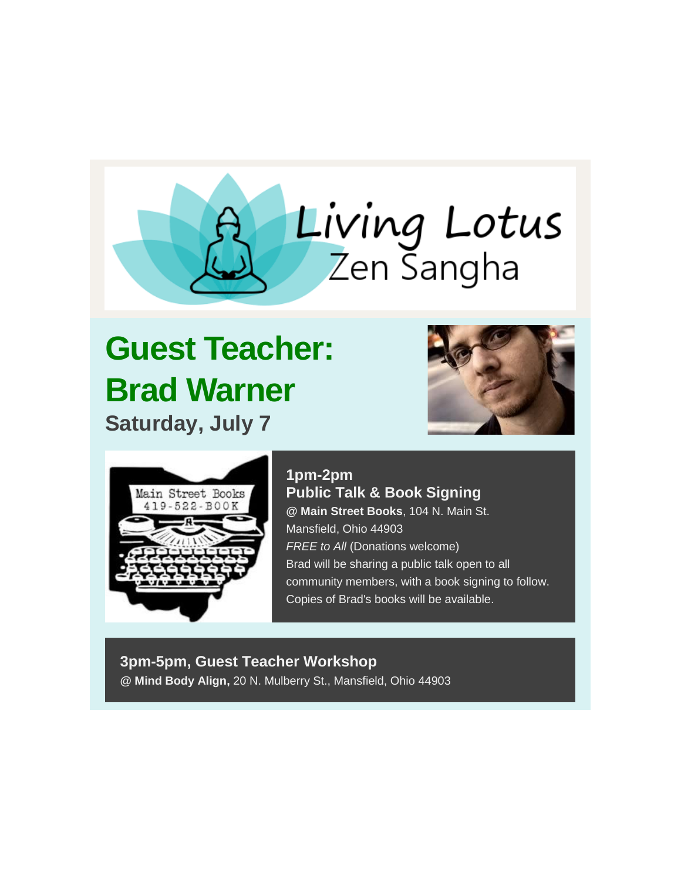

# **Guest Teacher: Brad Warner Saturday, July 7**





# **1pm-2pm Public Talk & Book Signing @ Main Street Books**, 104 N. Main St. Mansfield, Ohio 44903

*FREE to All* (Donations welcome) Brad will be sharing a public talk open to all community members, with a book signing to follow. Copies of Brad's books will be available.

## **3pm-5pm, Guest Teacher Workshop @ Mind Body Align,** 20 N. Mulberry St., Mansfield, Ohio 44903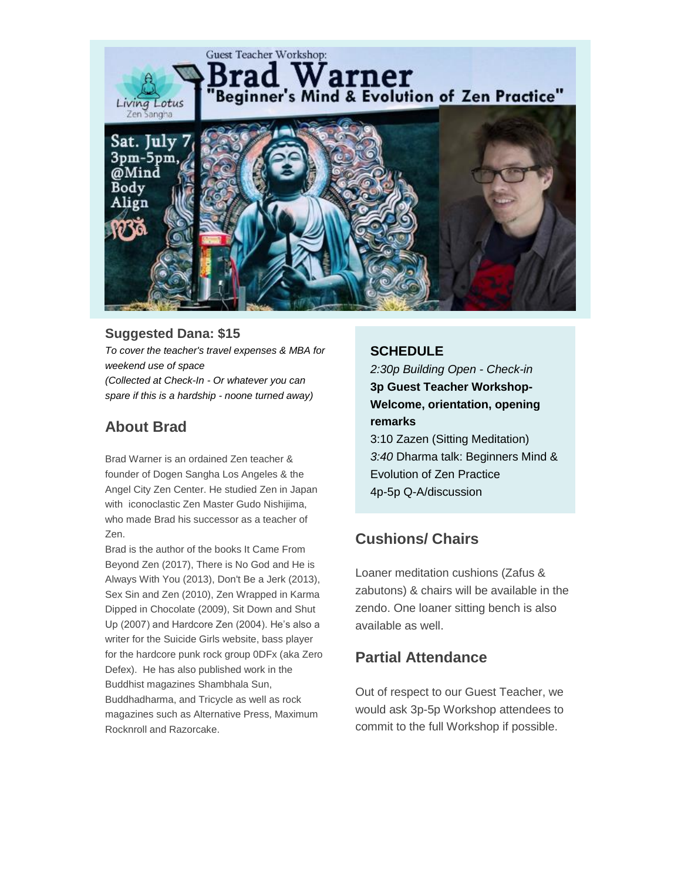

## **Suggested Dana: \$15**

*To cover the teacher's travel expenses & MBA for weekend use of space (Collected at Check-In - Or whatever you can spare if this is a hardship - noone turned away)*

# **About Brad**

Brad Warner is an ordained Zen teacher & founder of Dogen Sangha Los Angeles & the Angel City Zen Center. He studied Zen in Japan with iconoclastic Zen Master Gudo Nishijima, who made Brad his successor as a teacher of Zen.

Brad is the author of the books It Came From Beyond Zen (2017), There is No God and He is Always With You (2013), Don't Be a Jerk (2013), Sex Sin and Zen (2010), Zen Wrapped in Karma Dipped in Chocolate (2009), Sit Down and Shut Up (2007) and Hardcore Zen (2004). He's also a writer for the Suicide Girls website, bass player for the hardcore punk rock group 0DFx (aka Zero Defex). He has also published work in the Buddhist magazines Shambhala Sun, Buddhadharma, and Tricycle as well as rock magazines such as Alternative Press, Maximum Rocknroll and Razorcake.

## **SCHEDULE**

*2:30p Building Open - Check-in* **3p Guest Teacher Workshop-Welcome, orientation, opening remarks**

3:10 Zazen (Sitting Meditation) *3:40* Dharma talk: Beginners Mind & Evolution of Zen Practice 4p-5p Q-A/discussion

# **Cushions/ Chairs**

Loaner meditation cushions (Zafus & zabutons) & chairs will be available in the zendo. One loaner sitting bench is also available as well.

# **Partial Attendance**

Out of respect to our Guest Teacher, we would ask 3p-5p Workshop attendees to commit to the full Workshop if possible.